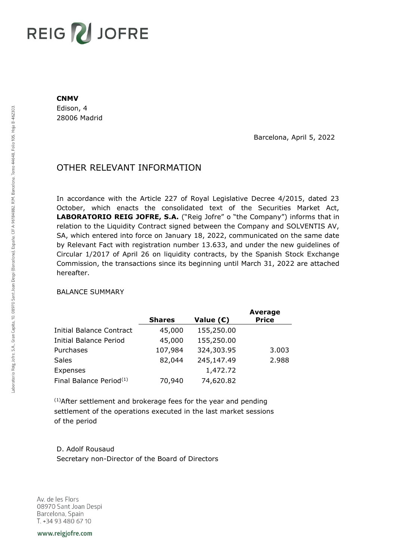## **REIG Z JOFRE**

## **CNMV**

Edison, 4 28006 Madrid

Barcelona, April 5, 2022

## OTHER RELEVANT INFORMATION

In accordance with the Article 227 of Royal Legislative Decree 4/2015, dated 23 October, which enacts the consolidated text of the Securities Market Act, **LABORATORIO REIG JOFRE, S.A.** ("Reig Jofre" o "the Company") informs that in relation to the Liquidity Contract signed between the Company and SOLVENTIS AV, SA, which entered into force on January 18, 2022, communicated on the same date by Relevant Fact with registration number 13.633, and under the new guidelines of Circular 1/2017 of April 26 on liquidity contracts, by the Spanish Stock Exchange Commission, the transactions since its beginning until March 31, 2022 are attached hereafter.

## BALANCE SUMMARY

|                                     |               |             | <b>Average</b> |
|-------------------------------------|---------------|-------------|----------------|
|                                     | <b>Shares</b> | Value $(E)$ | <b>Price</b>   |
| <b>Initial Balance Contract</b>     | 45,000        | 155,250.00  |                |
| <b>Initial Balance Period</b>       | 45,000        | 155,250.00  |                |
| Purchases                           | 107,984       | 324,303.95  | 3.003          |
| <b>Sales</b>                        | 82,044        | 245,147.49  | 2.988          |
| Expenses                            |               | 1,472.72    |                |
| Final Balance Period <sup>(1)</sup> | 70,940        | 74,620.82   |                |

(1)After settlement and brokerage fees for the year and pending settlement of the operations executed in the last market sessions of the period

D. Adolf Rousaud Secretary non-Director of the Board of Directors

Av. de les Flors 08970 Sant Joan Despi Barcelona, Spain T. +34 93 480 67 10